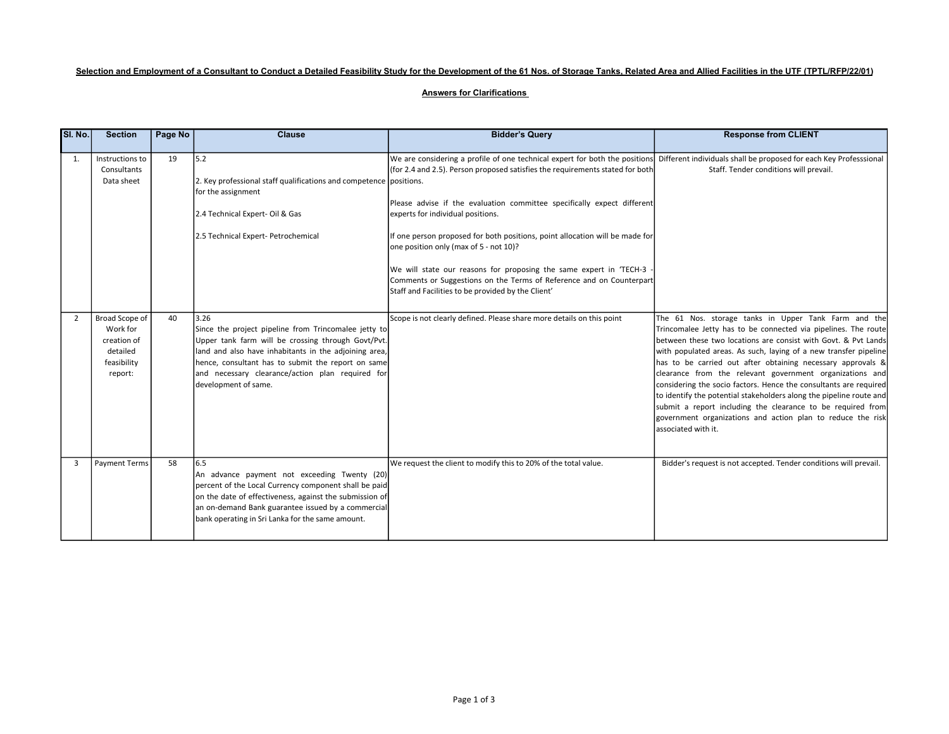# Selection and Employment of a Consultant to Conduct a Detailed Feasibility Study for the Development of the 61 Nos. of Storage Tanks, Related Area and Allied Facilities in the UTF (TPTL/RFP/22/01)

## Answers for Clarifications

| <b>SI. No.</b> | <b>Section</b>                                                                  | Page No | <b>Clause</b>                                                                                                                                                                                                                                                                                                 | <b>Bidder's Query</b>                                                                                                                                                                                                                                                                                                                                                                                                                                                                                                                                                                                                                                                           | <b>Response from CLIENT</b>                                                                                                                                                                                                                                                                                                                                                                                                                                                                                                                                                                                                                                                              |
|----------------|---------------------------------------------------------------------------------|---------|---------------------------------------------------------------------------------------------------------------------------------------------------------------------------------------------------------------------------------------------------------------------------------------------------------------|---------------------------------------------------------------------------------------------------------------------------------------------------------------------------------------------------------------------------------------------------------------------------------------------------------------------------------------------------------------------------------------------------------------------------------------------------------------------------------------------------------------------------------------------------------------------------------------------------------------------------------------------------------------------------------|------------------------------------------------------------------------------------------------------------------------------------------------------------------------------------------------------------------------------------------------------------------------------------------------------------------------------------------------------------------------------------------------------------------------------------------------------------------------------------------------------------------------------------------------------------------------------------------------------------------------------------------------------------------------------------------|
| 1.             | Instructions to<br>Consultants<br>Data sheet                                    | 19      | 5.2<br>2. Key professional staff qualifications and competence positions.<br>for the assignment<br>2.4 Technical Expert-Oil & Gas<br>2.5 Technical Expert- Petrochemical                                                                                                                                      | We are considering a profile of one technical expert for both the positions Different individuals shall be proposed for each Key Professsional<br>(for 2.4 and 2.5). Person proposed satisfies the requirements stated for both<br>Please advise if the evaluation committee specifically expect different<br>experts for individual positions.<br>If one person proposed for both positions, point allocation will be made for<br>one position only (max of 5 - not 10)?<br>We will state our reasons for proposing the same expert in 'TECH-3 -<br>Comments or Suggestions on the Terms of Reference and on Counterpart<br>Staff and Facilities to be provided by the Client' | Staff. Tender conditions will prevail.                                                                                                                                                                                                                                                                                                                                                                                                                                                                                                                                                                                                                                                   |
| $\overline{2}$ | Broad Scope of<br>Work for<br>creation of<br>detailed<br>feasibility<br>report: | 40      | 3.26<br>Since the project pipeline from Trincomalee jetty to<br>Upper tank farm will be crossing through Govt/Pvt.<br>land and also have inhabitants in the adjoining area,<br>hence, consultant has to submit the report on same<br>and necessary clearance/action plan required for<br>development of same. | Scope is not clearly defined. Please share more details on this point                                                                                                                                                                                                                                                                                                                                                                                                                                                                                                                                                                                                           | The 61 Nos. storage tanks in Upper Tank Farm and the<br>Trincomalee Jetty has to be connected via pipelines. The route<br>between these two locations are consist with Govt. & Pvt Lands<br>with populated areas. As such, laying of a new transfer pipeline<br>has to be carried out after obtaining necessary approvals &<br>clearance from the relevant government organizations and<br>considering the socio factors. Hence the consultants are required<br>to identify the potential stakeholders along the pipeline route and<br>submit a report including the clearance to be required from<br>government organizations and action plan to reduce the risk<br>associated with it. |
| 3              | <b>Payment Terms</b>                                                            | 58      | 6.5<br>An advance payment not exceeding Twenty (20)<br>percent of the Local Currency component shall be paid<br>on the date of effectiveness, against the submission of<br>an on-demand Bank guarantee issued by a commercial<br>bank operating in Sri Lanka for the same amount.                             | We request the client to modify this to 20% of the total value.                                                                                                                                                                                                                                                                                                                                                                                                                                                                                                                                                                                                                 | Bidder's request is not accepted. Tender conditions will prevail.                                                                                                                                                                                                                                                                                                                                                                                                                                                                                                                                                                                                                        |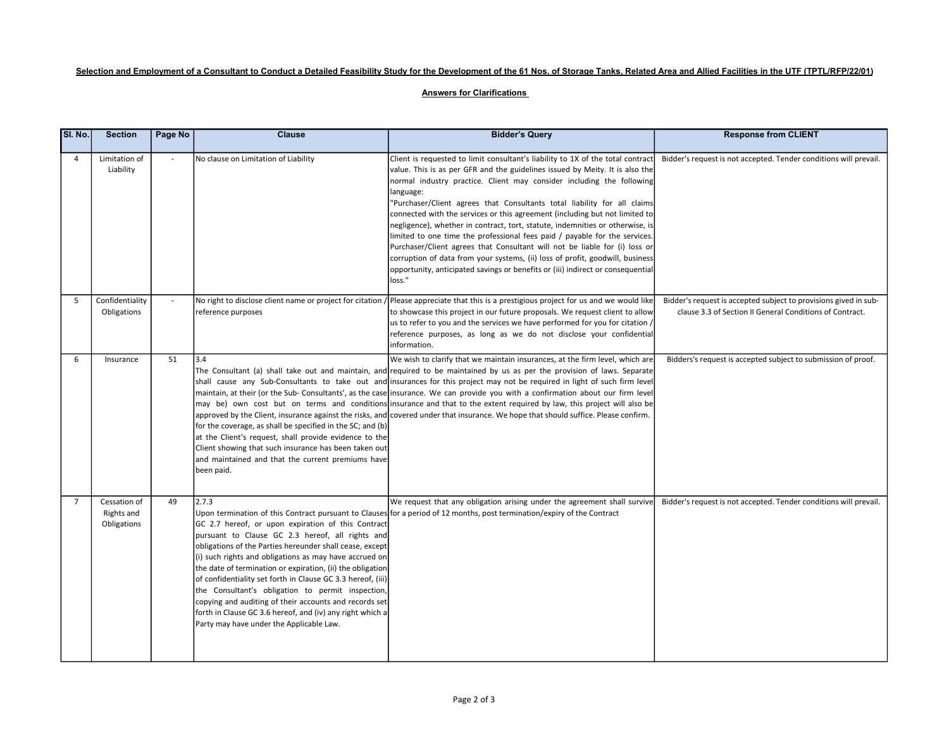# Selection and Employment of a Consultant to Conduct a Detailed Feasibility Study for the Development of the 61 Nos. of Storage Tanks, Related Area and Allied Facilities in the UTF (TPTL/RFP/22/01)

## Answers for Clarifications

| SI. No.        | <b>Section</b>                            | Page No | <b>Clause</b>                                                                                                                                                                                                                                                                                                                                                                                                                                                                                                                                                                               | <b>Bidder's Query</b>                                                                                                                                                                                                                                                                                                                                                                                                                                                                                                                                                                                                                                                                                                                                                                                                                       | <b>Response from CLIENT</b>                                                                                                  |
|----------------|-------------------------------------------|---------|---------------------------------------------------------------------------------------------------------------------------------------------------------------------------------------------------------------------------------------------------------------------------------------------------------------------------------------------------------------------------------------------------------------------------------------------------------------------------------------------------------------------------------------------------------------------------------------------|---------------------------------------------------------------------------------------------------------------------------------------------------------------------------------------------------------------------------------------------------------------------------------------------------------------------------------------------------------------------------------------------------------------------------------------------------------------------------------------------------------------------------------------------------------------------------------------------------------------------------------------------------------------------------------------------------------------------------------------------------------------------------------------------------------------------------------------------|------------------------------------------------------------------------------------------------------------------------------|
| 4              | Limitation of<br>Liability                | $\sim$  | No clause on Limitation of Liability                                                                                                                                                                                                                                                                                                                                                                                                                                                                                                                                                        | Client is requested to limit consultant's liability to 1X of the total contract<br>value. This is as per GFR and the guidelines issued by Meity. It is also the<br>normal industry practice. Client may consider including the following<br>language:<br>"Purchaser/Client agrees that Consultants total liability for all claims<br>connected with the services or this agreement (including but not limited to<br>negligence), whether in contract, tort, statute, indemnities or otherwise, is<br>limited to one time the professional fees paid / payable for the services.<br>Purchaser/Client agrees that Consultant will not be liable for (i) loss or<br>corruption of data from your systems, (ii) loss of profit, goodwill, business<br>opportunity, anticipated savings or benefits or (iii) indirect or consequential<br>loss." | Bidder's request is not accepted. Tender conditions will prevail.                                                            |
| 5              | Confidentiality<br>Obligations            |         | No right to disclose client name or project for citation<br>reference purposes                                                                                                                                                                                                                                                                                                                                                                                                                                                                                                              | /Please appreciate that this is a prestigious project for us and we would like<br>to showcase this project in our future proposals. We request client to allow<br>us to refer to you and the services we have performed for you for citation /<br>reference purposes, as long as we do not disclose your confidential<br>information.                                                                                                                                                                                                                                                                                                                                                                                                                                                                                                       | Bidder's request is accepted subject to provisions gived in sub-<br>clause 3.3 of Section II General Conditions of Contract. |
| 6              | Insurance                                 | 51      | 3.4<br>for the coverage, as shall be specified in the SC; and (b)<br>at the Client's request, shall provide evidence to the<br>Client showing that such insurance has been taken out<br>and maintained and that the current premiums have<br>been paid.                                                                                                                                                                                                                                                                                                                                     | We wish to clarify that we maintain insurances, at the firm level, which are<br>The Consultant (a) shall take out and maintain, and required to be maintained by us as per the provision of laws. Separate<br>shall cause any Sub-Consultants to take out and insurances for this project may not be required in light of such firm level<br>maintain, at their (or the Sub-Consultants', as the case insurance. We can provide you with a confirmation about our firm level<br>may be) own cost but on terms and conditions insurance and that to the extent required by law, this project will also be<br>approved by the Client, insurance against the risks, and covered under that insurance. We hope that should suffice. Please confirm.                                                                                             | Bidders's request is accepted subject to submission of proof.                                                                |
| $\overline{7}$ | Cessation of<br>Rights and<br>Obligations | 49      | 12.7.3<br>GC 2.7 hereof, or upon expiration of this Contract<br>pursuant to Clause GC 2.3 hereof, all rights and<br>obligations of the Parties hereunder shall cease, except<br>(i) such rights and obligations as may have accrued on<br>the date of termination or expiration, (ii) the obligation<br>of confidentiality set forth in Clause GC 3.3 hereof, (iii)<br>the Consultant's obligation to permit inspection,<br>copying and auditing of their accounts and records set<br>forth in Clause GC 3.6 hereof, and (iv) any right which a<br>Party may have under the Applicable Law. | We request that any obligation arising under the agreement shall survive<br>Upon termination of this Contract pursuant to Clauses for a period of 12 months, post termination/expiry of the Contract                                                                                                                                                                                                                                                                                                                                                                                                                                                                                                                                                                                                                                        | Bidder's request is not accepted. Tender conditions will prevail.                                                            |